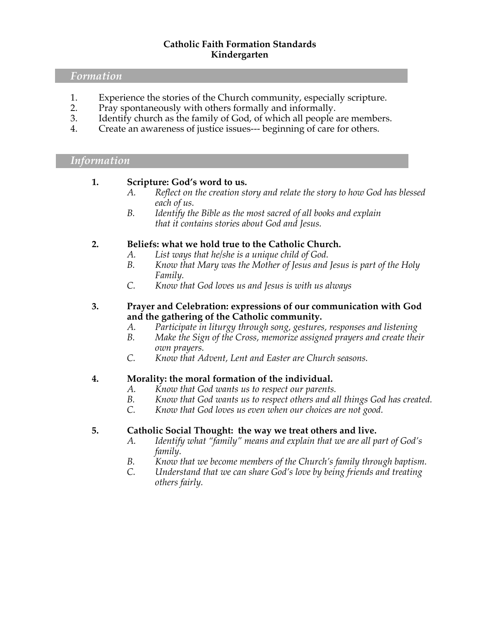#### **Catholic Faith Formation Standards Kindergarten**

## *Formation*

- 1. Experience the stories of the Church community, especially scripture.<br>2. Pray spontaneously with others formally and informally.
- Pray spontaneously with others formally and informally.
- 3. Identify church as the family of God, of which all people are members.
- 4. Create an awareness of justice issues--- beginning of care for others.

## *Information*

#### **1. Scripture: God's word to us.**

- *A. Reflect on the creation story and relate the story to how God has blessed each of us.*
- *B. Identify the Bible as the most sacred of all books and explain that it contains stories about God and Jesus.*

## **2. Beliefs: what we hold true to the Catholic Church.**

- *A. List ways that he/she is a unique child of God.*
- *B. Know that Mary was the Mother of Jesus and Jesus is part of the Holy Family.*
- *C. Know that God loves us and Jesus is with us always*
- **3. Prayer and Celebration: expressions of our communication with God and the gathering of the Catholic community.**
	- *A. Participate in liturgy through song, gestures, responses and listening*
	- *B. Make the Sign of the Cross, memorize assigned prayers and create their own prayers.*
	- *C. Know that Advent, Lent and Easter are Church seasons.*

#### **4. Morality: the moral formation of the individual.**

- *A. Know that God wants us to respect our parents.*
- *B. Know that God wants us to respect others and all things God has created.*
- *C. Know that God loves us even when our choices are not good.*

- *A. Identify what "family" means and explain that we are all part of God's family.*
- *B. Know that we become members of the Church's family through baptism.*
- *C. Understand that we can share God's love by being friends and treating others fairly.*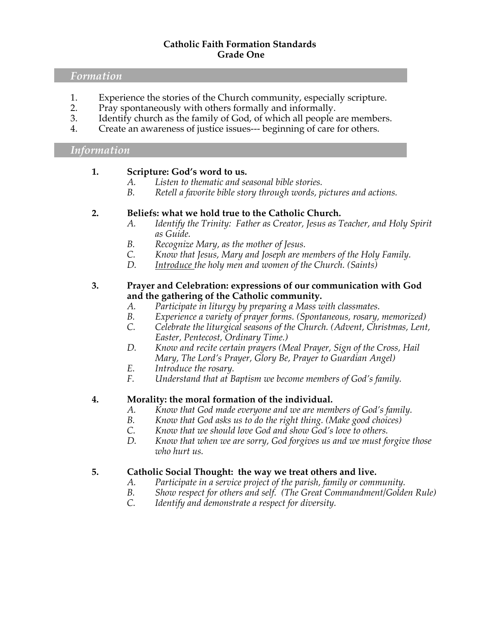#### **Catholic Faith Formation Standards Grade One**

## *Formation*

- 1. Experience the stories of the Church community, especially scripture.<br>2. Pray spontaneously with others formally and informally.
- Pray spontaneously with others formally and informally.
- 3. Identify church as the family of God, of which all people are members.
- 4. Create an awareness of justice issues--- beginning of care for others.

#### *Information*

## **1. Scripture: God's word to us.**

- *A. Listen to thematic and seasonal bible stories.*
- *B. Retell a favorite bible story through words, pictures and actions.*

## **2. Beliefs: what we hold true to the Catholic Church.**

- *A. Identify the Trinity: Father as Creator, Jesus as Teacher, and Holy Spirit as Guide.*
- *B. Recognize Mary, as the mother of Jesus.*
- *C. Know that Jesus, Mary and Joseph are members of the Holy Family.*
- *D. Introduce the holy men and women of the Church. (Saints)*

#### **3. Prayer and Celebration: expressions of our communication with God and the gathering of the Catholic community.**

- *A. Participate in liturgy by preparing a Mass with classmates.*
- *B. Experience a variety of prayer forms. (Spontaneous, rosary, memorized)*
- *C. Celebrate the liturgical seasons of the Church. (Advent, Christmas, Lent, Easter, Pentecost, Ordinary Time.)*
- *D. Know and recite certain prayers (Meal Prayer, Sign of the Cross, Hail Mary, The Lord's Prayer, Glory Be, Prayer to Guardian Angel)*
- *E. Introduce the rosary.*
- *F. Understand that at Baptism we become members of God's family.*

## **4. Morality: the moral formation of the individual.**

- *A. Know that God made everyone and we are members of God's family.*
- *B. Know that God asks us to do the right thing. (Make good choices)*
- *C. Know that we should love God and show God's love to others.*
- *D. Know that when we are sorry, God forgives us and we must forgive those who hurt us.*

- *A. Participate in a service project of the parish, family or community.*
- *B. Show respect for others and self. (The Great Commandment/Golden Rule)*
- *C. Identify and demonstrate a respect for diversity.*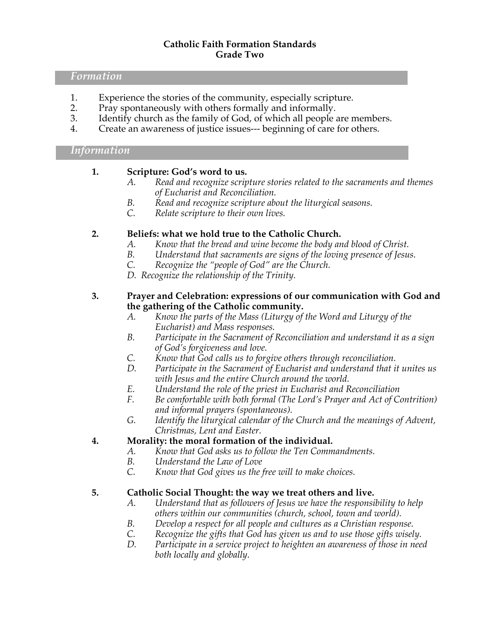#### **Catholic Faith Formation Standards Grade Two**

#### *Formation*

- 1. Experience the stories of the community, especially scripture.<br>2. Pray spontaneously with others formally and informally.
- Pray spontaneously with others formally and informally.
- 3. Identify church as the family of God, of which all people are members.
- 4. Create an awareness of justice issues--- beginning of care for others.

#### *Information*

## **1. Scripture: God's word to us.**

- *A. Read and recognize scripture stories related to the sacraments and themes of Eucharist and Reconciliation.*
- *B. Read and recognize scripture about the liturgical seasons.*
- *C. Relate scripture to their own lives.*

## **2. Beliefs: what we hold true to the Catholic Church.**

- *A. Know that the bread and wine become the body and blood of Christ.*
- *B. Understand that sacraments are signs of the loving presence of Jesus.*
- *C. Recognize the "people of God" are the Church.*
- *D. Recognize the relationship of the Trinity.*
- **3. Prayer and Celebration: expressions of our communication with God and the gathering of the Catholic community.**
	- *A. Know the parts of the Mass (Liturgy of the Word and Liturgy of the Eucharist) and Mass responses.*
	- *B. Participate in the Sacrament of Reconciliation and understand it as a sign of God's forgiveness and love.*
	- *C. Know that God calls us to forgive others through reconciliation.*
	- *D. Participate in the Sacrament of Eucharist and understand that it unites us with Jesus and the entire Church around the world.*
	- *E. Understand the role of the priest in Eucharist and Reconciliation*
	- *F. Be comfortable with both formal (The Lord's Prayer and Act of Contrition) and informal prayers (spontaneous).*
	- *G. Identify the liturgical calendar of the Church and the meanings of Advent, Christmas, Lent and Easter.*

## **4. Morality: the moral formation of the individual.**

- *A. Know that God asks us to follow the Ten Commandments.*
- *B. Understand the Law of Love*
- *C. Know that God gives us the free will to make choices.*

- *A. Understand that as followers of Jesus we have the responsibility to help others within our communities (church, school, town and world).*
- *B. Develop a respect for all people and cultures as a Christian response.*
- *C. Recognize the gifts that God has given us and to use those gifts wisely.*
- *D. Participate in a service project to heighten an awareness of those in need both locally and globally.*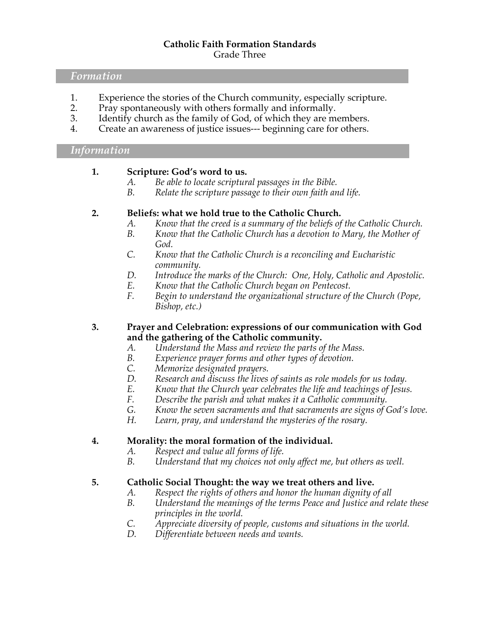#### **Catholic Faith Formation Standards** Grade Three

#### *Formation*

- 1. Experience the stories of the Church community, especially scripture.<br>2. Pray spontaneously with others formally and informally.
- Pray spontaneously with others formally and informally.
- 3. Identify church as the family of God, of which they are members.
- 4. Create an awareness of justice issues--- beginning care for others.

#### *Information*

#### **1. Scripture: God's word to us.**

- *A. Be able to locate scriptural passages in the Bible.*
- *B. Relate the scripture passage to their own faith and life.*

#### **2. Beliefs: what we hold true to the Catholic Church.**

- *A. Know that the creed is a summary of the beliefs of the Catholic Church.*
- *B. Know that the Catholic Church has a devotion to Mary, the Mother of God.*
- *C. Know that the Catholic Church is a reconciling and Eucharistic community.*
- *D. Introduce the marks of the Church: One, Holy, Catholic and Apostolic.*
- *E. Know that the Catholic Church began on Pentecost.*
- *F. Begin to understand the organizational structure of the Church (Pope, Bishop, etc.)*

#### **3. Prayer and Celebration: expressions of our communication with God and the gathering of the Catholic community.**

- *A. Understand the Mass and review the parts of the Mass.*
- *B. Experience prayer forms and other types of devotion.*
- *C. Memorize designated prayers.*
- *D. Research and discuss the lives of saints as role models for us today.*
- *E. Know that the Church year celebrates the life and teachings of Jesus.*
- *F. Describe the parish and what makes it a Catholic community.*
- *G. Know the seven sacraments and that sacraments are signs of God's love.*
- *H. Learn, pray, and understand the mysteries of the rosary.*

#### **4. Morality: the moral formation of the individual.**

- *A. Respect and value all forms of life.*
- *B. Understand that my choices not only affect me, but others as well.*

- *A. Respect the rights of others and honor the human dignity of all*
- *B. Understand the meanings of the terms Peace and Justice and relate these principles in the world.*
- *C. Appreciate diversity of people, customs and situations in the world.*
- *D. Differentiate between needs and wants.*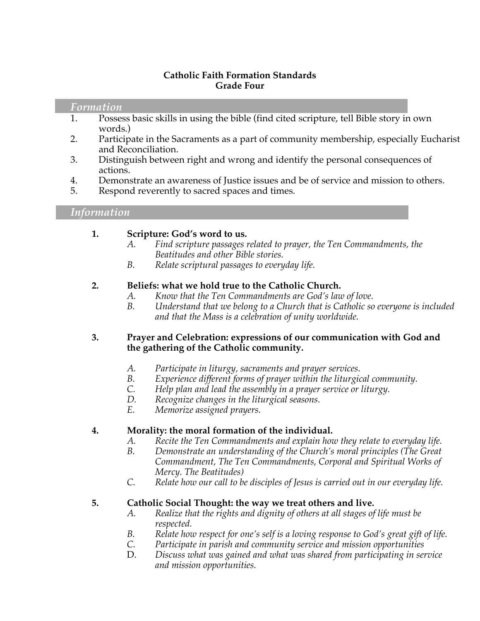## **Catholic Faith Formation Standards Grade Four**

#### *Formation*

- 1. Possess basic skills in using the bible (find cited scripture, tell Bible story in own words.)
- 2. Participate in the Sacraments as a part of community membership, especially Eucharist and Reconciliation.
- 3. Distinguish between right and wrong and identify the personal consequences of actions.
- 4. Demonstrate an awareness of Justice issues and be of service and mission to others.
- 5. Respond reverently to sacred spaces and times.

## *Information*

## **1. Scripture: God's word to us.**

- *A. Find scripture passages related to prayer, the Ten Commandments, the Beatitudes and other Bible stories.*
- *B. Relate scriptural passages to everyday life.*

## **2. Beliefs: what we hold true to the Catholic Church.**

- *A. Know that the Ten Commandments are God's law of love.*
- *B. Understand that we belong to a Church that is Catholic so everyone is included and that the Mass is a celebration of unity worldwide.*

#### **3. Prayer and Celebration: expressions of our communication with God and the gathering of the Catholic community.**

- *A. Participate in liturgy, sacraments and prayer services.*
- *B. Experience different forms of prayer within the liturgical community.*
- *C. Help plan and lead the assembly in a prayer service or liturgy.*
- *D. Recognize changes in the liturgical seasons.*
- *E. Memorize assigned prayers.*

## **4. Morality: the moral formation of the individual.**

- *A. Recite the Ten Commandments and explain how they relate to everyday life.*
- *B. Demonstrate an understanding of the Church's moral principles (The Great Commandment, The Ten Commandments, Corporal and Spiritual Works of Mercy. The Beatitudes)*
- *C. Relate how our call to be disciples of Jesus is carried out in our everyday life.*

- *A. Realize that the rights and dignity of others at all stages of life must be respected.*
- *B. Relate how respect for one's self is a loving response to God's great gift of life.*
- *C. Participate in parish and community service and mission opportunities*
- D. *Discuss what was gained and what was shared from participating in service and mission opportunities.*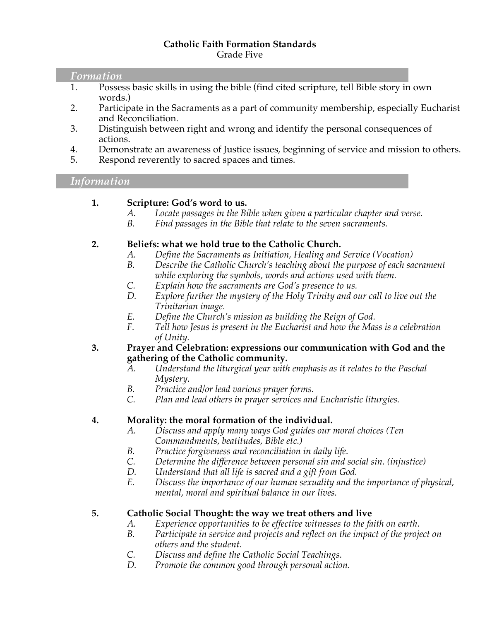## **Catholic Faith Formation Standards**

Grade Five

# *Formation*

- Possess basic skills in using the bible (find cited scripture, tell Bible story in own words.)
- 2. Participate in the Sacraments as a part of community membership, especially Eucharist and Reconciliation.
- 3. Distinguish between right and wrong and identify the personal consequences of actions.
- 4. Demonstrate an awareness of Justice issues, beginning of service and mission to others.<br>5. Respond reverently to sacred spaces and times.
- Respond reverently to sacred spaces and times.

## *Information*

## **1. Scripture: God's word to us.**

- *A. Locate passages in the Bible when given a particular chapter and verse.*
- *B. Find passages in the Bible that relate to the seven sacraments.*

## **2. Beliefs: what we hold true to the Catholic Church.**

- *A. Define the Sacraments as Initiation, Healing and Service (Vocation)*
- *B. Describe the Catholic Church's teaching about the purpose of each sacrament while exploring the symbols, words and actions used with them.*
- *C. Explain how the sacraments are God's presence to us.*
- *D. Explore further the mystery of the Holy Trinity and our call to live out the Trinitarian image.*
- *E. Define the Church's mission as building the Reign of God.*
- *F. Tell how Jesus is present in the Eucharist and how the Mass is a celebration of Unity.*
- **3. Prayer and Celebration: expressions our communication with God and the gathering of the Catholic community.**
	- *A. Understand the liturgical year with emphasis as it relates to the Paschal Mystery.*
	- *B. Practice and/or lead various prayer forms.*
	- *C. Plan and lead others in prayer services and Eucharistic liturgies.*

## **4. Morality: the moral formation of the individual.**

- *A. Discuss and apply many ways God guides our moral choices (Ten Commandments, beatitudes, Bible etc.)*
- *B. Practice forgiveness and reconciliation in daily life.*
- *C. Determine the difference between personal sin and social sin. (injustice)*
- *D. Understand that all life is sacred and a gift from God.*
- *E. Discuss the importance of our human sexuality and the importance of physical, mental, moral and spiritual balance in our lives.*

- *A. Experience opportunities to be effective witnesses to the faith on earth.*
- *B. Participate in service and projects and reflect on the impact of the project on others and the student.*
- *C. Discuss and define the Catholic Social Teachings.*
- *D. Promote the common good through personal action.*